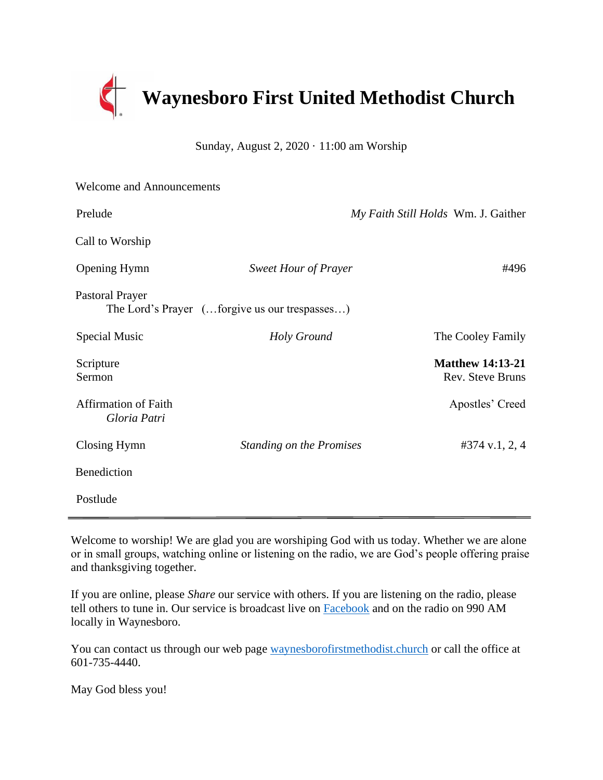

Sunday, August 2,  $2020 \cdot 11:00$  am Worship

| <b>Welcome and Announcements</b>            |                                               |                                             |
|---------------------------------------------|-----------------------------------------------|---------------------------------------------|
| Prelude                                     |                                               | My Faith Still Holds Wm. J. Gaither         |
| Call to Worship                             |                                               |                                             |
| <b>Opening Hymn</b>                         | <b>Sweet Hour of Prayer</b>                   | #496                                        |
| <b>Pastoral Prayer</b>                      | The Lord's Prayer (forgive us our trespasses) |                                             |
| Special Music                               | Holy Ground                                   | The Cooley Family                           |
| Scripture<br>Sermon                         |                                               | <b>Matthew 14:13-21</b><br>Rev. Steve Bruns |
| <b>Affirmation of Faith</b><br>Gloria Patri |                                               | Apostles' Creed                             |
| Closing Hymn                                | <b>Standing on the Promises</b>               | #374 v.1, 2, 4                              |
| Benediction                                 |                                               |                                             |
| Postlude                                    |                                               |                                             |

Welcome to worship! We are glad you are worshiping God with us today. Whether we are alone or in small groups, watching online or listening on the radio, we are God's people offering praise and thanksgiving together.

If you are online, please *Share* our service with others. If you are listening on the radio, please tell others to tune in. Our service is broadcast live on [Facebook](https://www.facebook.com/Waynesboro-First-United-Methodist-Church-175960185867306/?ref=aymt_homepage_panel&eid=ARCiQq_aJav80cdk6BUVVBeTeDB4_yY2ULELUZCwM-VBEc9Sy_7gLZgcuYbMI6x6sKzp4LHk9mYe5bCs) and on the radio on 990 AM locally in Waynesboro.

You can contact us through our web page [waynesborofirstmethodist.church](http://www.waynesborofirstmethodist.church/) or call the office at 601-735-4440.

May God bless you!